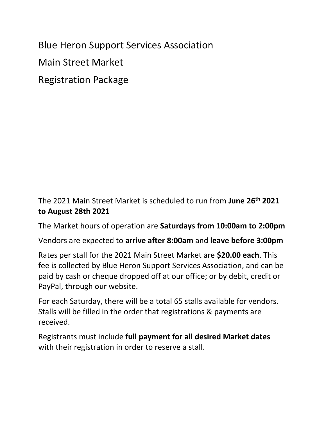Blue Heron Support Services Association Main Street Market Registration Package

The 2021 Main Street Market is scheduled to run from **June 26th 2021 to August 28th 2021**

The Market hours of operation are **Saturdays from 10:00am to 2:00pm**

Vendors are expected to **arrive after 8:00am** and **leave before 3:00pm**

Rates per stall for the 2021 Main Street Market are **\$20.00 each**. This fee is collected by Blue Heron Support Services Association, and can be paid by cash or cheque dropped off at our office; or by debit, credit or PayPal, through our website.

For each Saturday, there will be a total 65 stalls available for vendors. Stalls will be filled in the order that registrations & payments are received.

Registrants must include **full payment for all desired Market dates** with their registration in order to reserve a stall.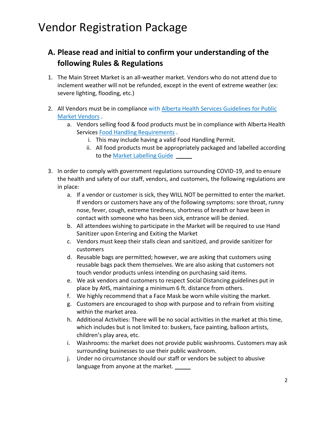#### **A. Please read and initial to confirm your understanding of the following Rules & Regulations**

- 1. The Main Street Market is an all-weather market. Vendors who do not attend due to inclement weather will not be refunded, except in the event of extreme weather (ex: severe lighting, flooding, etc.)
- 2. All Vendors must be in compliance with [Alberta Health Services Guidelines for Public](https://www.albertahealthservices.ca/assets/wf/eph/wf-eh-guidelines-for-public-market-managers-and-vendors.pdf)  [Market Vendors](https://www.albertahealthservices.ca/assets/wf/eph/wf-eh-guidelines-for-public-market-managers-and-vendors.pdf) .
	- a. Vendors selling food & food products must be in compliance with Alberta Health Services [Food Handling Requirements](http://www.albertahealthservices.ca/assets/wf/eph/wf-eh-alberta-food-safety-basics-booklet.pdf) .
		- i. This may include having a valid Food Handling Permit.
		- ii. All food products must be appropriately packaged and labelled according to the [Market Labelling Guide](http://www1.agric.gov.ab.ca/$Department/deptdocs.nsf/all/explore13545/$FILE/Appendix7BasicAndAllergenLabellingQuickGuide.pdf)
- 3. In order to comply with government regulations surrounding COVID-19, and to ensure the health and safety of our staff, vendors, and customers, the following regulations are in place:
	- a. If a vendor or customer is sick, they WILL NOT be permitted to enter the market. If vendors or customers have any of the following symptoms: sore throat, runny nose, fever, cough, extreme tiredness, shortness of breath or have been in contact with someone who has been sick, entrance will be denied.
	- b. All attendees wishing to participate in the Market will be required to use Hand Sanitizer upon Entering and Exiting the Market
	- c. Vendors must keep their stalls clean and sanitized, and provide sanitizer for customers
	- d. Reusable bags are permitted; however, we are asking that customers using reusable bags pack them themselves. We are also asking that customers not touch vendor products unless intending on purchasing said items.
	- e. We ask vendors and customers to respect Social Distancing guidelines put in place by AHS, maintaining a minimum 6 ft. distance from others.
	- f. We highly recommend that a Face Mask be worn while visiting the market.
	- g. Customers are encouraged to shop with purpose and to refrain from visiting within the market area.
	- h. Additional Activities: There will be no social activities in the market at this time, which includes but is not limited to: buskers, face painting, balloon artists, children's play area, etc.
	- i. Washrooms: the market does not provide public washrooms. Customers may ask surrounding businesses to use their public washroom.
	- j. Under no circumstance should our staff or vendors be subject to abusive language from anyone at the market. **\_\_\_\_\_**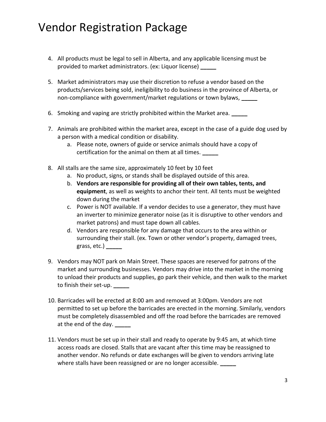- 4. All products must be legal to sell in Alberta, and any applicable licensing must be provided to market administrators. (ex: Liquor license) **\_\_\_\_\_**
- 5. Market administrators may use their discretion to refuse a vendor based on the products/services being sold, ineligibility to do business in the province of Alberta, or non-compliance with government/market regulations or town bylaws, **\_\_\_\_\_**
- 6. Smoking and vaping are strictly prohibited within the Market area. **\_\_\_\_\_**
- 7. Animals are prohibited within the market area, except in the case of a guide dog used by a person with a medical condition or disability.
	- a. Please note, owners of guide or service animals should have a copy of certification for the animal on them at all times. **\_\_\_\_\_**
- 8. All stalls are the same size, approximately 10 feet by 10 feet
	- a. No product, signs, or stands shall be displayed outside of this area.
	- b. **Vendors are responsible for providing all of their own tables, tents, and equipment**, as well as weights to anchor their tent. All tents must be weighted down during the market
	- c. Power is NOT available. If a vendor decides to use a generator, they must have an inverter to minimize generator noise (as it is disruptive to other vendors and market patrons) and must tape down all cables.
	- d. Vendors are responsible for any damage that occurs to the area within or surrounding their stall. (ex. Town or other vendor's property, damaged trees, grass, etc.) **\_\_\_\_\_**
- 9. Vendors may NOT park on Main Street. These spaces are reserved for patrons of the market and surrounding businesses. Vendors may drive into the market in the morning to unload their products and supplies, go park their vehicle, and then walk to the market to finish their set-up. **\_\_\_\_\_**
- 10. Barricades will be erected at 8:00 am and removed at 3:00pm. Vendors are not permitted to set up before the barricades are erected in the morning. Similarly, vendors must be completely disassembled and off the road before the barricades are removed at the end of the day. **\_\_\_\_\_**
- 11. Vendors must be set up in their stall and ready to operate by 9:45 am, at which time access roads are closed. Stalls that are vacant after this time may be reassigned to another vendor. No refunds or date exchanges will be given to vendors arriving late where stalls have been reassigned or are no longer accessible. **\_\_\_\_\_**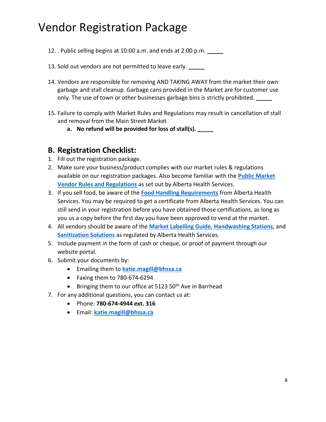- 12. . Public selling begins at 10:00 a.m. and ends at 2:00 p.m. **\_\_\_\_\_**
- 13. Sold out vendors are not permitted to leave early.
- 14. Vendors are responsible for removing AND TAKING AWAY from the market their own garbage and stall cleanup. Garbage cans provided in the Market are for customer use only. The use of town or other businesses garbage bins is strictly prohibited. **\_\_\_\_\_**
- 15. Failure to comply with Market Rules and Regulations may result in cancellation of stall and removal from the Main Street Market
	- **a. No refund will be provided for loss of stall(s). \_\_\_\_\_**

#### **B. Registration Checklist:**

- 1. Fill out the registration package.
- 2. Make sure your business/product complies with our market rules & regulations available on our registration packages. Also become familiar with the **[Public Market](http://www.albertahealthservices.ca/assets/wf/eph/wf-eh-guidelines-for-public-market-managers-and-vendors.pdf)  [Vendor Rules and Regulations](http://www.albertahealthservices.ca/assets/wf/eph/wf-eh-guidelines-for-public-market-managers-and-vendors.pdf)** as set out by Alberta Health Services.
- 3. If you sell food, be aware of the **[Food Handling Requirements](http://www.albertahealthservices.ca/assets/wf/eph/wf-eh-alberta-food-safety-basics-booklet.pdf)** from Alberta Health Services. You may be required to get a certificate from Alberta Health Services. You can still send in your registration before you have obtained those certifications, as long as you us a copy before the first day you have been approved to vend at the market.
- 4. All vendors should be aware of the **[Market Labelling Guide](http://www1.agric.gov.ab.ca/$Department/deptdocs.nsf/all/explore13545/$FILE/Appendix7BasicAndAllergenLabellingQuickGuide.pdf)**, **[Handwashing](http://www.albertahealthservices.ca/assets/wf/eph/wf-eh-temporary-handwashing-stations.pdf) Stations**, and **[Sanitization Solutions](http://www.albertahealthservices.ca/assets/wf/eph/wf-eh-how-mix-an-approved-sanitizing-solution.pdf)** as regulated by Alberta Health Services.
- 5. Include payment in the form of cash or cheque, or proof of payment through our website portal.
- 6. Submit your documents by:
	- Emailing them to **[katie.magill@bhssa.ca](mailto:katie.magill@bhssa.ca)**
	- Faxing them to 780-674-6294
	- **•** Bringing them to our office at 5123 50<sup>th</sup> Ave in Barrhead
- 7. For any additional questions, you can contact us at:
	- Phone: **780-674-4944 ext. 316**
	- Email: **[katie.magill@bhssa.ca](mailto:katie.magill@bhssa.ca)**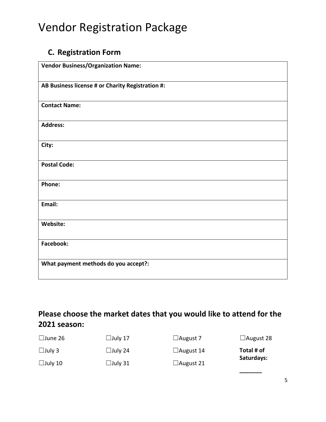#### **C. Registration Form**

| <b>Vendor Business/Organization Name:</b>        |
|--------------------------------------------------|
| AB Business license # or Charity Registration #: |
| <b>Contact Name:</b>                             |
| <b>Address:</b>                                  |
| City:                                            |
| <b>Postal Code:</b>                              |
| Phone:                                           |
| Email:                                           |
| Website:                                         |
| <b>Facebook:</b>                                 |
| What payment methods do you accept?:             |

#### **Please choose the market dates that you would like to attend for the 2021 season:**

| $\Box$ June 26 | $\Box$ July 17 | $\Box$ August 7  | $\Box$ August 28 |  |
|----------------|----------------|------------------|------------------|--|
| $\Box$ July 3  | $\Box$ July 24 | $\Box$ August 14 | Total # of       |  |
| $\Box$ July 10 | $\Box$ July 31 | $\Box$ August 21 | Saturdays:       |  |
|                |                |                  |                  |  |